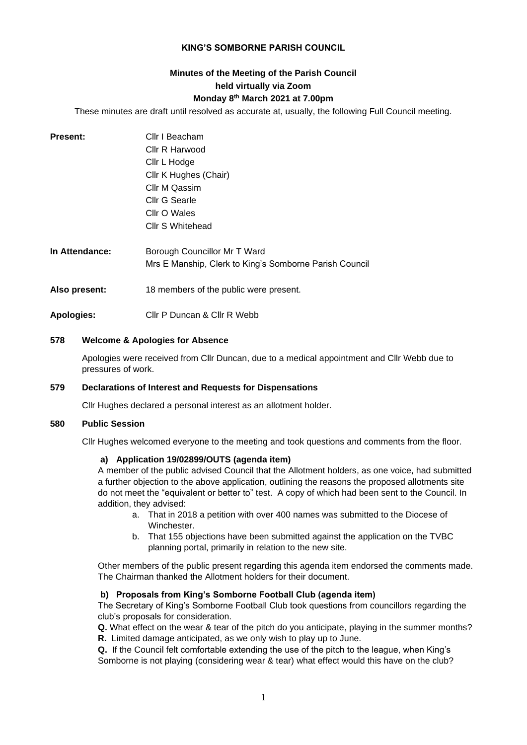## **KING'S SOMBORNE PARISH COUNCIL**

# **Minutes of the Meeting of the Parish Council held virtually via Zoom Monday 8 th March 2021 at 7.00pm**

These minutes are draft until resolved as accurate at, usually, the following Full Council meeting.

| <b>Present:</b> | Cllr I Beacham<br>Cllr R Harwood<br>Cllr L Hodge<br>Cllr K Hughes (Chair)<br>Cllr M Qassim<br>Cllr G Searle<br>Cllr O Wales<br><b>Cllr S Whitehead</b> |
|-----------------|--------------------------------------------------------------------------------------------------------------------------------------------------------|
| In Attendance:  | Borough Councillor Mr T Ward<br>Mrs E Manship, Clerk to King's Somborne Parish Council                                                                 |
| Also present:   | 18 members of the public were present.                                                                                                                 |
| Apologies:      | Cllr P Duncan & Cllr R Webb                                                                                                                            |

#### **578 Welcome & Apologies for Absence**

Apologies were received from Cllr Duncan, due to a medical appointment and Cllr Webb due to pressures of work.

#### **579 Declarations of Interest and Requests for Dispensations**

Cllr Hughes declared a personal interest as an allotment holder.

## **580 Public Session**

Cllr Hughes welcomed everyone to the meeting and took questions and comments from the floor.

#### **a) Application 19/02899/OUTS (agenda item)**

A member of the public advised Council that the Allotment holders, as one voice, had submitted a further objection to the above application, outlining the reasons the proposed allotments site do not meet the "equivalent or better to" test. A copy of which had been sent to the Council. In addition, they advised:

- a. That in 2018 a petition with over 400 names was submitted to the Diocese of Winchester.
- b. That 155 objections have been submitted against the application on the TVBC planning portal, primarily in relation to the new site.

Other members of the public present regarding this agenda item endorsed the comments made. The Chairman thanked the Allotment holders for their document.

## **b) Proposals from King's Somborne Football Club (agenda item)**

The Secretary of King's Somborne Football Club took questions from councillors regarding the club's proposals for consideration.

**Q.** What effect on the wear & tear of the pitch do you anticipate, playing in the summer months? **R.** Limited damage anticipated, as we only wish to play up to June.

**Q.** If the Council felt comfortable extending the use of the pitch to the league, when King's

Somborne is not playing (considering wear & tear) what effect would this have on the club?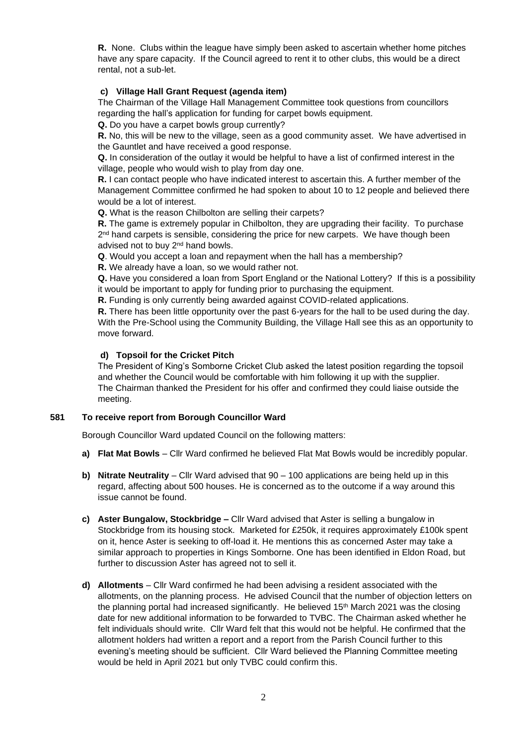**R.** None. Clubs within the league have simply been asked to ascertain whether home pitches have any spare capacity. If the Council agreed to rent it to other clubs, this would be a direct rental, not a sub-let.

# **c) Village Hall Grant Request (agenda item)**

The Chairman of the Village Hall Management Committee took questions from councillors regarding the hall's application for funding for carpet bowls equipment.

**Q.** Do you have a carpet bowls group currently?

**R.** No, this will be new to the village, seen as a good community asset. We have advertised in the Gauntlet and have received a good response.

**Q.** In consideration of the outlay it would be helpful to have a list of confirmed interest in the village, people who would wish to play from day one.

**R.** I can contact people who have indicated interest to ascertain this. A further member of the Management Committee confirmed he had spoken to about 10 to 12 people and believed there would be a lot of interest.

**Q.** What is the reason Chilbolton are selling their carpets?

**R.** The game is extremely popular in Chilbolton, they are upgrading their facility. To purchase 2<sup>nd</sup> hand carpets is sensible, considering the price for new carpets. We have though been advised not to buy 2nd hand bowls.

**Q**. Would you accept a loan and repayment when the hall has a membership?

**R.** We already have a loan, so we would rather not.

**Q.** Have you considered a loan from Sport England or the National Lottery? If this is a possibility it would be important to apply for funding prior to purchasing the equipment.

**R.** Funding is only currently being awarded against COVID-related applications.

**R.** There has been little opportunity over the past 6-years for the hall to be used during the day. With the Pre-School using the Community Building, the Village Hall see this as an opportunity to move forward.

# **d) Topsoil for the Cricket Pitch**

The President of King's Somborne Cricket Club asked the latest position regarding the topsoil and whether the Council would be comfortable with him following it up with the supplier. The Chairman thanked the President for his offer and confirmed they could liaise outside the meeting.

# **581 To receive report from Borough Councillor Ward**

Borough Councillor Ward updated Council on the following matters:

- **a) Flat Mat Bowls** Cllr Ward confirmed he believed Flat Mat Bowls would be incredibly popular.
- **b) Nitrate Neutrality** Cllr Ward advised that 90 100 applications are being held up in this regard, affecting about 500 houses. He is concerned as to the outcome if a way around this issue cannot be found.
- **c) Aster Bungalow, Stockbridge –** Cllr Ward advised that Aster is selling a bungalow in Stockbridge from its housing stock. Marketed for £250k, it requires approximately £100k spent on it, hence Aster is seeking to off-load it. He mentions this as concerned Aster may take a similar approach to properties in Kings Somborne. One has been identified in Eldon Road, but further to discussion Aster has agreed not to sell it.
- **d) Allotments** Cllr Ward confirmed he had been advising a resident associated with the allotments, on the planning process. He advised Council that the number of objection letters on the planning portal had increased significantly. He believed 15<sup>th</sup> March 2021 was the closing date for new additional information to be forwarded to TVBC. The Chairman asked whether he felt individuals should write. Cllr Ward felt that this would not be helpful. He confirmed that the allotment holders had written a report and a report from the Parish Council further to this evening's meeting should be sufficient. Cllr Ward believed the Planning Committee meeting would be held in April 2021 but only TVBC could confirm this.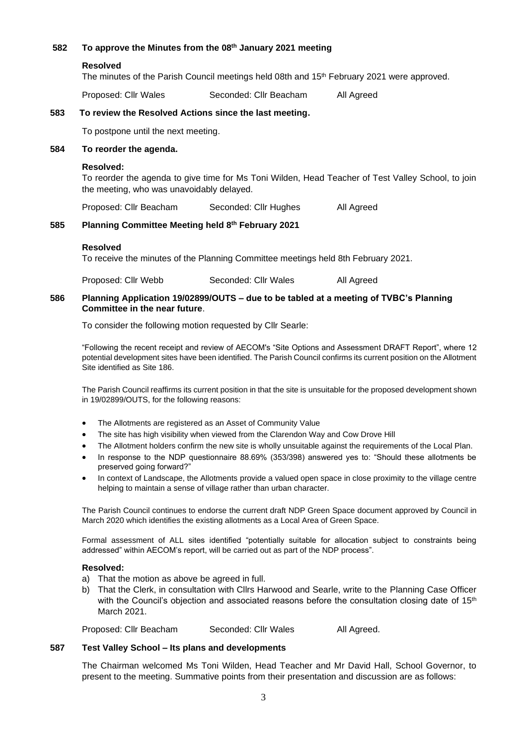# **582 To approve the Minutes from the 08th January 2021 meeting Resolved** The minutes of the Parish Council meetings held 08th and 15<sup>th</sup> February 2021 were approved. Proposed: Cllr Wales Seconded: Cllr Beacham All Agreed **583 To review the Resolved Actions since the last meeting.** To postpone until the next meeting. **584 To reorder the agenda. Resolved:**  To reorder the agenda to give time for Ms Toni Wilden, Head Teacher of Test Valley School, to join the meeting, who was unavoidably delayed. Proposed: Cllr Beacham Seconded: Cllr Hughes All Agreed **585 Planning Committee Meeting held 8th February 2021**

## **Resolved**

To receive the minutes of the Planning Committee meetings held 8th February 2021.

Proposed: Cllr Webb Seconded: Cllr Wales All Agreed

## **586 Planning Application 19/02899/OUTS – due to be tabled at a meeting of TVBC's Planning Committee in the near future**.

To consider the following motion requested by Cllr Searle:

"Following the recent receipt and review of AECOM's "Site Options and Assessment DRAFT Report", where 12 potential development sites have been identified. The Parish Council confirms its current position on the Allotment Site identified as Site 186.

The Parish Council reaffirms its current position in that the site is unsuitable for the proposed development shown in 19/02899/OUTS, for the following reasons:

- The Allotments are registered as an Asset of Community Value
- The site has high visibility when viewed from the Clarendon Way and Cow Drove Hill
- The Allotment holders confirm the new site is wholly unsuitable against the requirements of the Local Plan.
- In response to the NDP questionnaire 88.69% (353/398) answered yes to: "Should these allotments be preserved going forward?"
- In context of Landscape, the Allotments provide a valued open space in close proximity to the village centre helping to maintain a sense of village rather than urban character.

The Parish Council continues to endorse the current draft NDP Green Space document approved by Council in March 2020 which identifies the existing allotments as a Local Area of Green Space.

Formal assessment of ALL sites identified "potentially suitable for allocation subject to constraints being addressed" within AECOM's report, will be carried out as part of the NDP process".

#### **Resolved:**

- a) That the motion as above be agreed in full.
- b) That the Clerk, in consultation with Cllrs Harwood and Searle, write to the Planning Case Officer with the Council's objection and associated reasons before the consultation closing date of  $15<sup>th</sup>$ March 2021.

Proposed: Cllr Beacham Seconded: Cllr Wales All Agreed.

#### **587 Test Valley School – Its plans and developments**

The Chairman welcomed Ms Toni Wilden, Head Teacher and Mr David Hall, School Governor, to present to the meeting. Summative points from their presentation and discussion are as follows: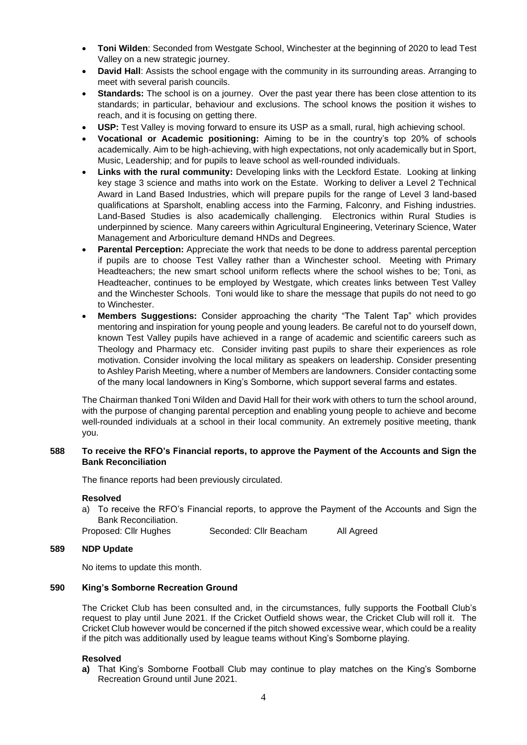- **Toni Wilden**: Seconded from Westgate School, Winchester at the beginning of 2020 to lead Test Valley on a new strategic journey.
- **David Hall**: Assists the school engage with the community in its surrounding areas. Arranging to meet with several parish councils.
- **Standards:** The school is on a journey. Over the past year there has been close attention to its standards; in particular, behaviour and exclusions. The school knows the position it wishes to reach, and it is focusing on getting there.
- **USP:** Test Valley is moving forward to ensure its USP as a small, rural, high achieving school.
- **Vocational or Academic positioning:** Aiming to be in the country's top 20% of schools academically. Aim to be high-achieving, with high expectations, not only academically but in Sport, Music, Leadership; and for pupils to leave school as well-rounded individuals.
- **Links with the rural community:** Developing links with the Leckford Estate. Looking at linking key stage 3 science and maths into work on the Estate. Working to deliver a Level 2 Technical Award in Land Based Industries, which will prepare pupils for the range of Level 3 land-based qualifications at Sparsholt, enabling access into the Farming, Falconry, and Fishing industries. Land-Based Studies is also academically challenging. Electronics within Rural Studies is underpinned by science. Many careers within Agricultural Engineering, Veterinary Science, Water Management and Arboriculture demand HNDs and Degrees.
- **Parental Perception:** Appreciate the work that needs to be done to address parental perception if pupils are to choose Test Valley rather than a Winchester school. Meeting with Primary Headteachers; the new smart school uniform reflects where the school wishes to be; Toni, as Headteacher, continues to be employed by Westgate, which creates links between Test Valley and the Winchester Schools. Toni would like to share the message that pupils do not need to go to Winchester.
- **Members Suggestions:** Consider approaching the charity "The Talent Tap" which provides mentoring and inspiration for young people and young leaders. Be careful not to do yourself down, known Test Valley pupils have achieved in a range of academic and scientific careers such as Theology and Pharmacy etc. Consider inviting past pupils to share their experiences as role motivation. Consider involving the local military as speakers on leadership. Consider presenting to Ashley Parish Meeting, where a number of Members are landowners. Consider contacting some of the many local landowners in King's Somborne, which support several farms and estates.

The Chairman thanked Toni Wilden and David Hall for their work with others to turn the school around, with the purpose of changing parental perception and enabling young people to achieve and become well-rounded individuals at a school in their local community. An extremely positive meeting, thank you.

## **588 To receive the RFO's Financial reports, to approve the Payment of the Accounts and Sign the Bank Reconciliation**

The finance reports had been previously circulated.

#### **Resolved**

a) To receive the RFO's Financial reports, to approve the Payment of the Accounts and Sign the Bank Reconciliation.

Proposed: Cllr Hughes Seconded: Cllr Beacham All Agreed

#### **589 NDP Update**

No items to update this month.

## **590 King's Somborne Recreation Ground**

The Cricket Club has been consulted and, in the circumstances, fully supports the Football Club's request to play until June 2021. If the Cricket Outfield shows wear, the Cricket Club will roll it. The Cricket Club however would be concerned if the pitch showed excessive wear, which could be a reality if the pitch was additionally used by league teams without King's Somborne playing.

## **Resolved**

**a)** That King's Somborne Football Club may continue to play matches on the King's Somborne Recreation Ground until June 2021.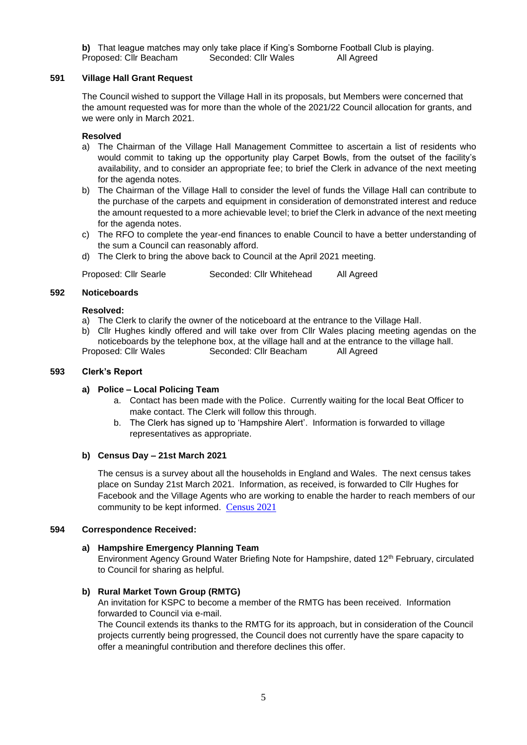**b)** That league matches may only take place if King's Somborne Football Club is playing.<br>Proposed: Cllr Beacham Seconded: Cllr Wales All Agreed Proposed: Cllr Beacham Seconded: Cllr Wales

## **591 Village Hall Grant Request**

The Council wished to support the Village Hall in its proposals, but Members were concerned that the amount requested was for more than the whole of the 2021/22 Council allocation for grants, and we were only in March 2021.

#### **Resolved**

- a) The Chairman of the Village Hall Management Committee to ascertain a list of residents who would commit to taking up the opportunity play Carpet Bowls, from the outset of the facility's availability, and to consider an appropriate fee; to brief the Clerk in advance of the next meeting for the agenda notes.
- b) The Chairman of the Village Hall to consider the level of funds the Village Hall can contribute to the purchase of the carpets and equipment in consideration of demonstrated interest and reduce the amount requested to a more achievable level; to brief the Clerk in advance of the next meeting for the agenda notes.
- c) The RFO to complete the year-end finances to enable Council to have a better understanding of the sum a Council can reasonably afford.
- d) The Clerk to bring the above back to Council at the April 2021 meeting.

Proposed: Cllr Searle Seconded: Cllr Whitehead All Agreed

#### **592 Noticeboards**

## **Resolved:**

- a) The Clerk to clarify the owner of the noticeboard at the entrance to the Village Hall.
- b) Cllr Hughes kindly offered and will take over from Cllr Wales placing meeting agendas on the noticeboards by the telephone box, at the village hall and at the entrance to the village hall. Proposed: Cllr Wales Seconded: Cllr Beacham All Agreed

#### **593 Clerk's Report**

## **a) Police – Local Policing Team**

- a. Contact has been made with the Police. Currently waiting for the local Beat Officer to make contact. The Clerk will follow this through.
- b. The Clerk has signed up to 'Hampshire Alert'. Information is forwarded to village representatives as appropriate.

#### **b) Census Day – 21st March 2021**

The census is a survey about all the households in England and Wales. The next census takes place on Sunday 21st March 2021. Information, as received, is forwarded to Cllr Hughes for Facebook and the Village Agents who are working to enable the harder to reach members of our community to be kept informed. [Census 2021](https://census.gov.uk/?utm_source=google&utm_medium=dynamic_search_ads&utm_campaign=national_campaign&utm_content=search&gclid=EAIaIQobChMIy8yn6IWH7wIVYoFQBh33zAmxEAAYASAAEgILzvD_BwE&gclsrc=aw.ds)

#### **594 Correspondence Received:**

## **a) Hampshire Emergency Planning Team**

Environment Agency Ground Water Briefing Note for Hampshire, dated 12<sup>th</sup> February, circulated to Council for sharing as helpful.

## **b) Rural Market Town Group (RMTG)**

An invitation for KSPC to become a member of the RMTG has been received. Information forwarded to Council via e-mail.

The Council extends its thanks to the RMTG for its approach, but in consideration of the Council projects currently being progressed, the Council does not currently have the spare capacity to offer a meaningful contribution and therefore declines this offer.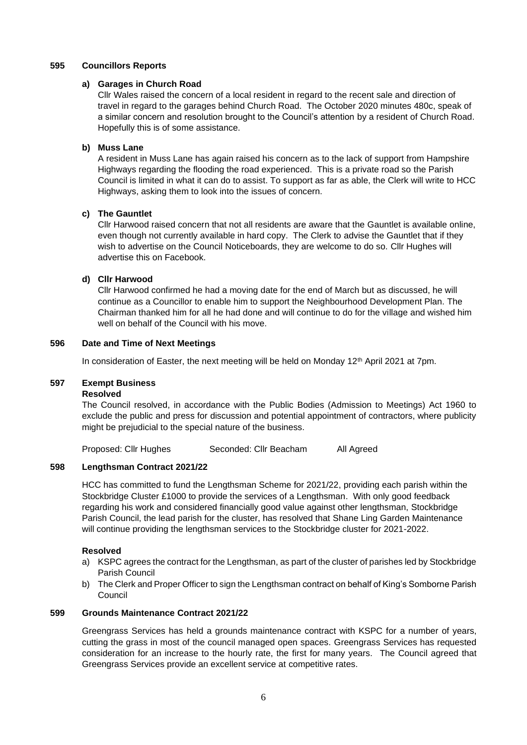### **595 Councillors Reports**

## **a) Garages in Church Road**

Cllr Wales raised the concern of a local resident in regard to the recent sale and direction of travel in regard to the garages behind Church Road. The October 2020 minutes 480c, speak of a similar concern and resolution brought to the Council's attention by a resident of Church Road. Hopefully this is of some assistance.

## **b) Muss Lane**

A resident in Muss Lane has again raised his concern as to the lack of support from Hampshire Highways regarding the flooding the road experienced. This is a private road so the Parish Council is limited in what it can do to assist. To support as far as able, the Clerk will write to HCC Highways, asking them to look into the issues of concern.

## **c) The Gauntlet**

Cllr Harwood raised concern that not all residents are aware that the Gauntlet is available online, even though not currently available in hard copy. The Clerk to advise the Gauntlet that if they wish to advertise on the Council Noticeboards, they are welcome to do so. Cllr Hughes will advertise this on Facebook.

## **d) Cllr Harwood**

Cllr Harwood confirmed he had a moving date for the end of March but as discussed, he will continue as a Councillor to enable him to support the Neighbourhood Development Plan. The Chairman thanked him for all he had done and will continue to do for the village and wished him well on behalf of the Council with his move.

## **596 Date and Time of Next Meetings**

In consideration of Easter, the next meeting will be held on Monday 12<sup>th</sup> April 2021 at 7pm.

#### **597 Exempt Business**

#### **Resolved**

The Council resolved, in accordance with the Public Bodies (Admission to Meetings) Act 1960 to exclude the public and press for discussion and potential appointment of contractors, where publicity might be prejudicial to the special nature of the business.

Proposed: Cllr Hughes Seconded: Cllr Beacham All Agreed

## **598 Lengthsman Contract 2021/22**

HCC has committed to fund the Lengthsman Scheme for 2021/22, providing each parish within the Stockbridge Cluster £1000 to provide the services of a Lengthsman. With only good feedback regarding his work and considered financially good value against other lengthsman, Stockbridge Parish Council, the lead parish for the cluster, has resolved that Shane Ling Garden Maintenance will continue providing the lengthsman services to the Stockbridge cluster for 2021-2022.

#### **Resolved**

- a) KSPC agrees the contract for the Lengthsman, as part of the cluster of parishes led by Stockbridge Parish Council
- b) The Clerk and Proper Officer to sign the Lengthsman contract on behalf of King's Somborne Parish Council

## **599 Grounds Maintenance Contract 2021/22**

Greengrass Services has held a grounds maintenance contract with KSPC for a number of years, cutting the grass in most of the council managed open spaces. Greengrass Services has requested consideration for an increase to the hourly rate, the first for many years. The Council agreed that Greengrass Services provide an excellent service at competitive rates.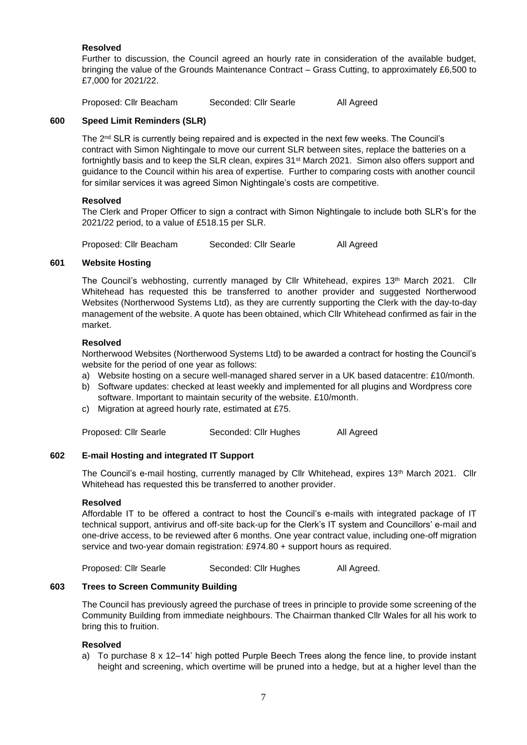## **Resolved**

Further to discussion, the Council agreed an hourly rate in consideration of the available budget, bringing the value of the Grounds Maintenance Contract – Grass Cutting, to approximately £6,500 to £7,000 for 2021/22.

Proposed: Cllr Beacham Seconded: Cllr Searle All Agreed

## **600 Speed Limit Reminders (SLR)**

The 2nd SLR is currently being repaired and is expected in the next few weeks. The Council's contract with Simon Nightingale to move our current SLR between sites, replace the batteries on a fortnightly basis and to keep the SLR clean, expires 31<sup>st</sup> March 2021. Simon also offers support and guidance to the Council within his area of expertise. Further to comparing costs with another council for similar services it was agreed Simon Nightingale's costs are competitive.

## **Resolved**

The Clerk and Proper Officer to sign a contract with Simon Nightingale to include both SLR's for the 2021/22 period, to a value of £518.15 per SLR.

Proposed: Cllr Beacham Seconded: Cllr Searle All Agreed

## **601 Website Hosting**

The Council's webhosting, currently managed by Cllr Whitehead, expires 13th March 2021. Cllr Whitehead has requested this be transferred to another provider and suggested Northerwood Websites (Northerwood Systems Ltd), as they are currently supporting the Clerk with the day-to-day management of the website. A quote has been obtained, which Cllr Whitehead confirmed as fair in the market.

## **Resolved**

Northerwood Websites (Northerwood Systems Ltd) to be awarded a contract for hosting the Council's website for the period of one year as follows:

- a) Website hosting on a secure well-managed shared server in a UK based datacentre: £10/month.
- b) Software updates: checked at least weekly and implemented for all plugins and Wordpress core software. Important to maintain security of the website. £10/month.
- c) Migration at agreed hourly rate, estimated at £75.

Proposed: Cllr Searle Seconded: Cllr Hughes All Agreed

## **602 E-mail Hosting and integrated IT Support**

The Council's e-mail hosting, currently managed by Cllr Whitehead, expires 13<sup>th</sup> March 2021. Cllr Whitehead has requested this be transferred to another provider.

#### **Resolved**

Affordable IT to be offered a contract to host the Council's e-mails with integrated package of IT technical support, antivirus and off-site back-up for the Clerk's IT system and Councillors' e-mail and one-drive access, to be reviewed after 6 months. One year contract value, including one-off migration service and two-year domain registration: £974.80 + support hours as required.

Proposed: Cllr Searle Seconded: Cllr Hughes All Agreed.

## **603 Trees to Screen Community Building**

The Council has previously agreed the purchase of trees in principle to provide some screening of the Community Building from immediate neighbours. The Chairman thanked Cllr Wales for all his work to bring this to fruition.

## **Resolved**

a) To purchase 8 x 12–14' high potted Purple Beech Trees along the fence line, to provide instant height and screening, which overtime will be pruned into a hedge, but at a higher level than the